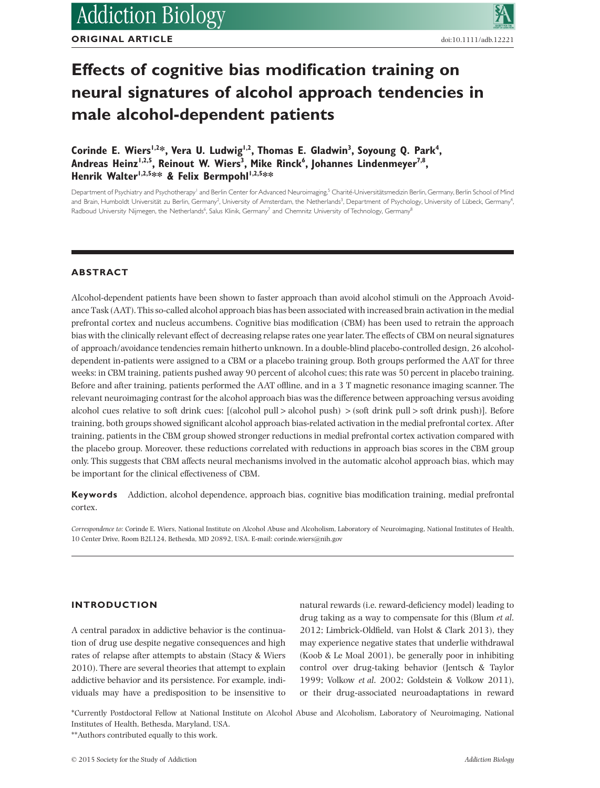**ORIGINAL ARTICLE**

# **Effects of cognitive bias modification training on neural signatures of alcohol approach tendencies in male alcohol-dependent patients**

Corinde E. Wiers<sup>1,2\*</sup>, Vera U. Ludwig<sup>1,2</sup>, Thomas E. Gladwin<sup>3</sup>, Soyoung Q. Park<sup>4</sup>, Andreas Heinz<sup>1,2,5</sup>, Reinout W. Wiers<sup>3</sup>, Mike Rinck<sup>6</sup>, Johannes Lindenmeyer<sup>7,8</sup>, Henrik Walter<sup>1,2,5\*\*</sup> & Felix Bermpohl<sup>1,2,5\*\*</sup>

Department of Psychiatry and Psychotherapy<sup>1</sup> and Berlin Center for Advanced Neuroimaging,<sup>5</sup> Charité-Universitätsmedizin Berlin, Germany, Berlin School of Mind and Brain, Humboldt Universität zu Berlin, Germany<sup>2</sup>, University of Amsterdam, the Netherlands<sup>3</sup>, Department of Psychology, University of Lübeck, Germany<sup>4</sup> Radboud University Nijmegen, the Netherlands<sup>6</sup>, Salus Klinik, Germany<sup>7</sup> and Chemnitz University of Technology, Germany<sup>8</sup>

# **ABSTRACT**

Alcohol-dependent patients have been shown to faster approach than avoid alcohol stimuli on the Approach Avoidance Task (AAT). This so-called alcohol approach bias has been associated with increased brain activation in the medial prefrontal cortex and nucleus accumbens. Cognitive bias modification (CBM) has been used to retrain the approach bias with the clinically relevant effect of decreasing relapse rates one year later. The effects of CBM on neural signatures of approach/avoidance tendencies remain hitherto unknown. In a double-blind placebo-controlled design, 26 alcoholdependent in-patients were assigned to a CBM or a placebo training group. Both groups performed the AAT for three weeks: in CBM training, patients pushed away 90 percent of alcohol cues; this rate was 50 percent in placebo training. Before and after training, patients performed the AAT offline, and in a 3 T magnetic resonance imaging scanner. The relevant neuroimaging contrast for the alcohol approach bias was the difference between approaching versus avoiding alcohol cues relative to soft drink cues: [(alcohol pull > alcohol push) > (soft drink pull > soft drink push)]. Before training, both groups showed significant alcohol approach bias-related activation in the medial prefrontal cortex. After training, patients in the CBM group showed stronger reductions in medial prefrontal cortex activation compared with the placebo group. Moreover, these reductions correlated with reductions in approach bias scores in the CBM group only. This suggests that CBM affects neural mechanisms involved in the automatic alcohol approach bias, which may be important for the clinical effectiveness of CBM.

**Keywords** Addiction, alcohol dependence, approach bias, cognitive bias modification training, medial prefrontal cortex.

*Correspondence to:* Corinde E. Wiers, National Institute on Alcohol Abuse and Alcoholism, Laboratory of Neuroimaging, National Institutes of Health, 10 Center Drive, Room B2L124, Bethesda, MD 20892, USA. E-mail: corinde.wiers@nih.gov

# **INTRODUCTION**

A central paradox in addictive behavior is the continuation of drug use despite negative consequences and high rates of relapse after attempts to abstain (Stacy & Wiers 2010). There are several theories that attempt to explain addictive behavior and its persistence. For example, individuals may have a predisposition to be insensitive to natural rewards (i.e. reward-deficiency model) leading to drug taking as a way to compensate for this (Blum *et al*. 2012; Limbrick-Oldfield, van Holst & Clark 2013), they may experience negative states that underlie withdrawal (Koob & Le Moal 2001), be generally poor in inhibiting control over drug-taking behavior (Jentsch & Taylor 1999; Volkow *et al*. 2002; Goldstein & Volkow 2011), or their drug-associated neuroadaptations in reward

\*Currently Postdoctoral Fellow at National Institute on Alcohol Abuse and Alcoholism, Laboratory of Neuroimaging, National Institutes of Health, Bethesda, Maryland, USA.

<sup>\*\*</sup>Authors contributed equally to this work.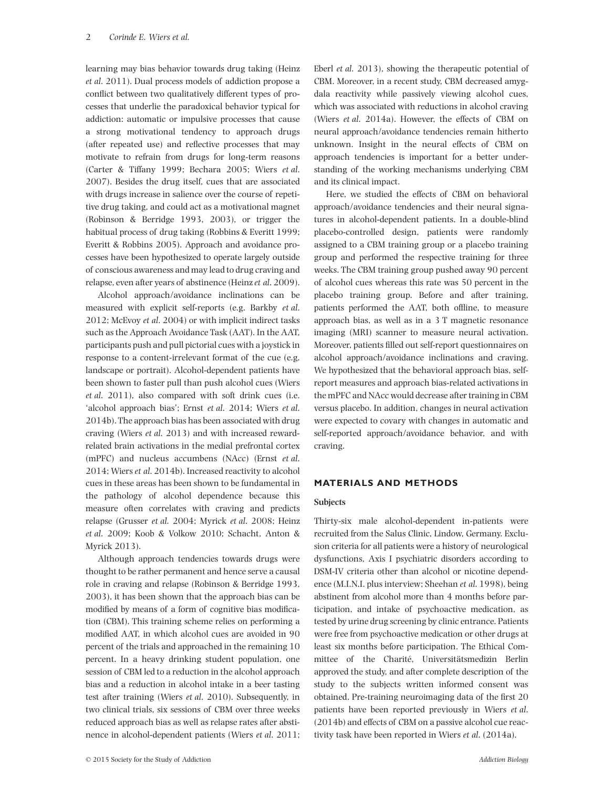learning may bias behavior towards drug taking (Heinz *et al*. 2011). Dual process models of addiction propose a conflict between two qualitatively different types of processes that underlie the paradoxical behavior typical for addiction: automatic or impulsive processes that cause a strong motivational tendency to approach drugs (after repeated use) and reflective processes that may motivate to refrain from drugs for long-term reasons (Carter & Tiffany 1999; Bechara 2005; Wiers *et al*. 2007). Besides the drug itself, cues that are associated with drugs increase in salience over the course of repetitive drug taking, and could act as a motivational magnet (Robinson & Berridge 1993, 2003), or trigger the habitual process of drug taking (Robbins & Everitt 1999; Everitt & Robbins 2005). Approach and avoidance processes have been hypothesized to operate largely outside of conscious awareness and may lead to drug craving and relapse, even after years of abstinence (Heinz*et al*. 2009).

Alcohol approach/avoidance inclinations can be measured with explicit self-reports (e.g. Barkby *et al*. 2012; McEvoy *et al*. 2004) or with implicit indirect tasks such as the Approach Avoidance Task (AAT). In the AAT, participants push and pull pictorial cues with a joystick in response to a content-irrelevant format of the cue (e.g. landscape or portrait). Alcohol-dependent patients have been shown to faster pull than push alcohol cues (Wiers *et al*. 2011), also compared with soft drink cues (i.e. 'alcohol approach bias'; Ernst *et al*. 2014; Wiers *et al*. 2014b). The approach bias has been associated with drug craving (Wiers *et al*. 2013) and with increased rewardrelated brain activations in the medial prefrontal cortex (mPFC) and nucleus accumbens (NAcc) (Ernst *et al*. 2014; Wiers *et al*. 2014b). Increased reactivity to alcohol cues in these areas has been shown to be fundamental in the pathology of alcohol dependence because this measure often correlates with craving and predicts relapse (Grusser *et al*. 2004; Myrick *et al*. 2008; Heinz *et al*. 2009; Koob & Volkow 2010; Schacht, Anton & Myrick 2013).

Although approach tendencies towards drugs were thought to be rather permanent and hence serve a causal role in craving and relapse (Robinson & Berridge 1993, 2003), it has been shown that the approach bias can be modified by means of a form of cognitive bias modification (CBM). This training scheme relies on performing a modified AAT, in which alcohol cues are avoided in 90 percent of the trials and approached in the remaining 10 percent. In a heavy drinking student population, one session of CBM led to a reduction in the alcohol approach bias and a reduction in alcohol intake in a beer tasting test after training (Wiers *et al*. 2010). Subsequently, in two clinical trials, six sessions of CBM over three weeks reduced approach bias as well as relapse rates after abstinence in alcohol-dependent patients (Wiers *et al*. 2011; Eberl *et al*. 2013), showing the therapeutic potential of CBM. Moreover, in a recent study, CBM decreased amygdala reactivity while passively viewing alcohol cues, which was associated with reductions in alcohol craving (Wiers *et al*. 2014a). However, the effects of CBM on neural approach/avoidance tendencies remain hitherto unknown. Insight in the neural effects of CBM on approach tendencies is important for a better understanding of the working mechanisms underlying CBM and its clinical impact.

Here, we studied the effects of CBM on behavioral approach/avoidance tendencies and their neural signatures in alcohol-dependent patients. In a double-blind placebo-controlled design, patients were randomly assigned to a CBM training group or a placebo training group and performed the respective training for three weeks. The CBM training group pushed away 90 percent of alcohol cues whereas this rate was 50 percent in the placebo training group. Before and after training, patients performed the AAT, both offline, to measure approach bias, as well as in a 3 T magnetic resonance imaging (MRI) scanner to measure neural activation. Moreover, patients filled out self-report questionnaires on alcohol approach/avoidance inclinations and craving. We hypothesized that the behavioral approach bias, selfreport measures and approach bias-related activations in the mPFC and NAcc would decrease after training in CBM versus placebo. In addition, changes in neural activation were expected to covary with changes in automatic and self-reported approach/avoidance behavior, and with craving.

# **MATERIALS AND METHODS**

### **Subjects**

Thirty-six male alcohol-dependent in-patients were recruited from the Salus Clinic, Lindow, Germany. Exclusion criteria for all patients were a history of neurological dysfunctions, Axis I psychiatric disorders according to DSM-IV criteria other than alcohol or nicotine dependence (M.I.N.I. plus interview; Sheehan *et al*. 1998), being abstinent from alcohol more than 4 months before participation, and intake of psychoactive medication, as tested by urine drug screening by clinic entrance. Patients were free from psychoactive medication or other drugs at least six months before participation. The Ethical Committee of the Charité, Universitätsmedizin Berlin approved the study, and after complete description of the study to the subjects written informed consent was obtained. Pre-training neuroimaging data of the first 20 patients have been reported previously in Wiers *et al*. (2014b) and effects of CBM on a passive alcohol cue reactivity task have been reported in Wiers *et al*. (2014a).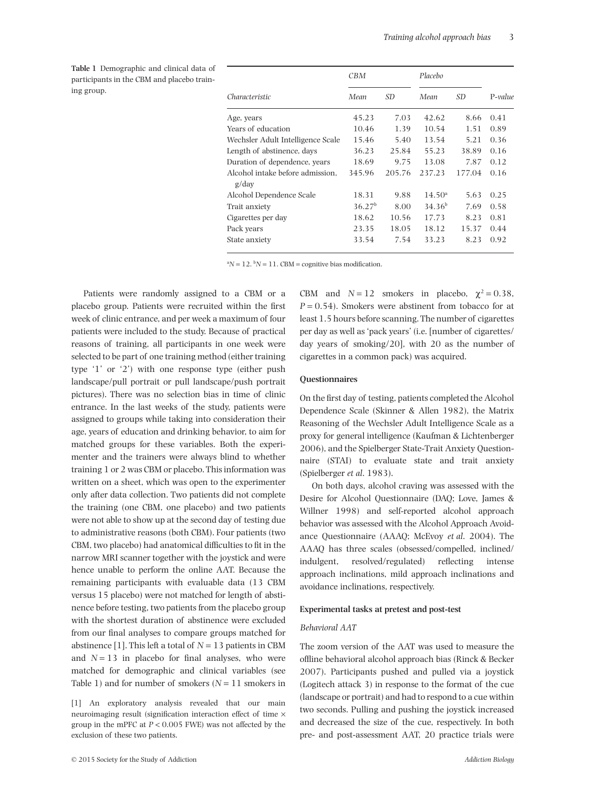**Table 1** Demographic and clinical data of participants in the CBM and placebo training group. *Characteristic*

|                                           | CBM                |        | Placebo         |        |         |
|-------------------------------------------|--------------------|--------|-----------------|--------|---------|
| Characteristic                            | Mean               | SD.    | Mean            | SD.    | P-value |
| Age, years                                | 45.23              | 7.03   | 42.62           | 8.66   | 0.41    |
| Years of education                        | 10.46              | 1.39   | 10.54           | 1.51   | 0.89    |
| Wechsler Adult Intelligence Scale         | 15.46              | 5.40   | 13.54           | 5.21   | 0.36    |
| Length of abstinence, days                | 36.23              | 25.84  | 55.23           | 38.89  | 0.16    |
| Duration of dependence, years             | 18.69              | 9.75   | 13.08           | 7.87   | 0.12    |
| Alcohol intake before admission.<br>g/dav | 345.96             | 205.76 | 237.23          | 177.04 | 0.16    |
| Alcohol Dependence Scale                  | 18.31              | 9.88   | $14.50^{\circ}$ | 5.63   | 0.25    |
| Trait anxiety                             | 36.27 <sup>b</sup> | 8.00   | $34.36^{b}$     | 7.69   | 0.58    |
| Cigarettes per day                        | 18.62              | 10.56  | 17.73           | 8.23   | 0.81    |
| Pack years                                | 23.35              | 18.05  | 18.12           | 15.37  | 0.44    |
| State anxiety                             | 33.54              | 7.54   | 33.23           | 8.23   | 0.92    |

 ${}^{a}N = 12$ .  ${}^{b}N = 11$ . CBM = cognitive bias modification.

Patients were randomly assigned to a CBM or a placebo group. Patients were recruited within the first week of clinic entrance, and per week a maximum of four patients were included to the study. Because of practical reasons of training, all participants in one week were selected to be part of one training method (either training type '1' or '2') with one response type (either push landscape/pull portrait or pull landscape/push portrait pictures). There was no selection bias in time of clinic entrance. In the last weeks of the study, patients were assigned to groups while taking into consideration their age, years of education and drinking behavior, to aim for matched groups for these variables. Both the experimenter and the trainers were always blind to whether training 1 or 2 was CBM or placebo. This information was written on a sheet, which was open to the experimenter only after data collection. Two patients did not complete the training (one CBM, one placebo) and two patients were not able to show up at the second day of testing due to administrative reasons (both CBM). Four patients (two CBM, two placebo) had anatomical difficulties to fit in the narrow MRI scanner together with the joystick and were hence unable to perform the online AAT. Because the remaining participants with evaluable data (13 CBM versus 15 placebo) were not matched for length of abstinence before testing, two patients from the placebo group with the shortest duration of abstinence were excluded from our final analyses to compare groups matched for abstinence [1]. This left a total of  $N = 13$  patients in CBM and  $N = 13$  in placebo for final analyses, who were matched for demographic and clinical variables (see Table 1) and for number of smokers  $(N = 11$  smokers in

CBM and  $N = 12$  smokers in placebo,  $\gamma^2 = 0.38$ ,  $P = 0.54$ ). Smokers were abstinent from tobacco for at least 1.5 hours before scanning. The number of cigarettes per day as well as 'pack years' (i.e. [number of cigarettes/ day years of smoking/20], with 20 as the number of cigarettes in a common pack) was acquired.

#### **Questionnaires**

On the first day of testing, patients completed the Alcohol Dependence Scale (Skinner & Allen 1982), the Matrix Reasoning of the Wechsler Adult Intelligence Scale as a proxy for general intelligence (Kaufman & Lichtenberger 2006), and the Spielberger State-Trait Anxiety Questionnaire (STAI) to evaluate state and trait anxiety (Spielberger *et al*. 1983).

On both days, alcohol craving was assessed with the Desire for Alcohol Questionnaire (DAQ; Love, James & Willner 1998) and self-reported alcohol approach behavior was assessed with the Alcohol Approach Avoidance Questionnaire (AAAQ; McEvoy *et al*. 2004). The AAAQ has three scales (obsessed/compelled, inclined/ indulgent, resolved/regulated) reflecting intense approach inclinations, mild approach inclinations and avoidance inclinations, respectively.

#### **Experimental tasks at pretest and post-test**

#### *Behavioral AAT*

The zoom version of the AAT was used to measure the offline behavioral alcohol approach bias (Rinck & Becker 2007). Participants pushed and pulled via a joystick (Logitech attack 3) in response to the format of the cue (landscape or portrait) and had to respond to a cue within two seconds. Pulling and pushing the joystick increased and decreased the size of the cue, respectively. In both pre- and post-assessment AAT, 20 practice trials were

<sup>[1]</sup> An exploratory analysis revealed that our main neuroimaging result (signification interaction effect of time × group in the mPFC at *P* < 0.005 FWE) was not affected by the exclusion of these two patients.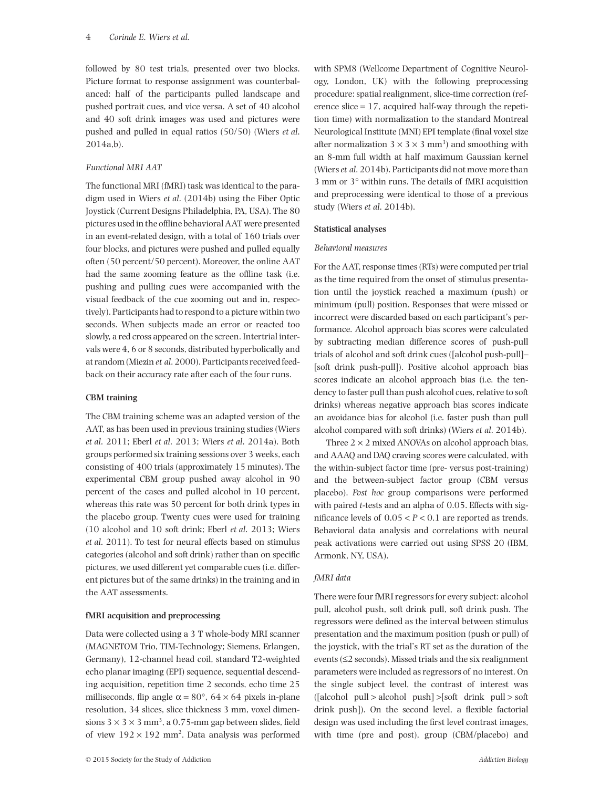followed by 80 test trials, presented over two blocks. Picture format to response assignment was counterbalanced: half of the participants pulled landscape and pushed portrait cues, and vice versa. A set of 40 alcohol and 40 soft drink images was used and pictures were pushed and pulled in equal ratios (50/50) (Wiers *et al*. 2014a,b).

# *Functional MRI AAT*

The functional MRI (fMRI) task was identical to the paradigm used in Wiers *et al*. (2014b) using the Fiber Optic Joystick (Current Designs Philadelphia, PA, USA). The 80 pictures used in the offline behavioral AAT were presented in an event-related design, with a total of 160 trials over four blocks, and pictures were pushed and pulled equally often (50 percent/50 percent). Moreover, the online AAT had the same zooming feature as the offline task (i.e. pushing and pulling cues were accompanied with the visual feedback of the cue zooming out and in, respectively). Participants had to respond to a picture within two seconds. When subjects made an error or reacted too slowly, a red cross appeared on the screen. Intertrial intervals were 4, 6 or 8 seconds, distributed hyperbolically and at random (Miezin *et al*. 2000). Participants received feedback on their accuracy rate after each of the four runs.

# **CBM training**

The CBM training scheme was an adapted version of the AAT, as has been used in previous training studies (Wiers *et al*. 2011; Eberl *et al*. 2013; Wiers *et al*. 2014a). Both groups performed six training sessions over 3 weeks, each consisting of 400 trials (approximately 15 minutes). The experimental CBM group pushed away alcohol in 90 percent of the cases and pulled alcohol in 10 percent, whereas this rate was 50 percent for both drink types in the placebo group. Twenty cues were used for training (10 alcohol and 10 soft drink; Eberl *et al*. 2013; Wiers *et al*. 2011). To test for neural effects based on stimulus categories (alcohol and soft drink) rather than on specific pictures, we used different yet comparable cues (i.e. different pictures but of the same drinks) in the training and in the AAT assessments.

# **fMRI acquisition and preprocessing**

Data were collected using a 3 T whole-body MRI scanner (MAGNETOM Trio, TIM-Technology; Siemens, Erlangen, Germany), 12-channel head coil, standard T2-weighted echo planar imaging (EPI) sequence, sequential descending acquisition, repetition time 2 seconds, echo time 25 milliseconds, flip angle  $\alpha = 80^{\circ}$ ,  $64 \times 64$  pixels in-plane resolution, 34 slices, slice thickness 3 mm, voxel dimensions  $3 \times 3 \times 3$  mm<sup>3</sup>, a 0.75-mm gap between slides, field of view  $192 \times 192$  mm<sup>2</sup>. Data analysis was performed

with SPM8 (Wellcome Department of Cognitive Neurology, London, UK) with the following preprocessing procedure: spatial realignment, slice-time correction (reference slice  $= 17$ , acquired half-way through the repetition time) with normalization to the standard Montreal Neurological Institute (MNI) EPI template (final voxel size after normalization  $3 \times 3 \times 3$  mm<sup>3</sup>) and smoothing with an 8-mm full width at half maximum Gaussian kernel (Wiers*et al*. 2014b). Participants did not move more than 3 mm or 3° within runs. The details of fMRI acquisition and preprocessing were identical to those of a previous study (Wiers *et al*. 2014b).

# **Statistical analyses**

# *Behavioral measures*

For the AAT, response times (RTs) were computed per trial as the time required from the onset of stimulus presentation until the joystick reached a maximum (push) or minimum (pull) position. Responses that were missed or incorrect were discarded based on each participant's performance. Alcohol approach bias scores were calculated by subtracting median difference scores of push-pull trials of alcohol and soft drink cues ([alcohol push-pull]– [soft drink push-pull]). Positive alcohol approach bias scores indicate an alcohol approach bias (i.e. the tendency to faster pull than push alcohol cues, relative to soft drinks) whereas negative approach bias scores indicate an avoidance bias for alcohol (i.e. faster push than pull alcohol compared with soft drinks) (Wiers *et al*. 2014b).

Three  $2 \times 2$  mixed ANOVAs on alcohol approach bias, and AAAQ and DAQ craving scores were calculated, with the within-subject factor time (pre- versus post-training) and the between-subject factor group (CBM versus placebo). *Post hoc* group comparisons were performed with paired *t*-tests and an alpha of 0.05. Effects with significance levels of  $0.05 < P < 0.1$  are reported as trends. Behavioral data analysis and correlations with neural peak activations were carried out using SPSS 20 (IBM, Armonk, NY, USA).

# *fMRI data*

There were four fMRI regressors for every subject: alcohol pull, alcohol push, soft drink pull, soft drink push. The regressors were defined as the interval between stimulus presentation and the maximum position (push or pull) of the joystick, with the trial's RT set as the duration of the events (≤2 seconds). Missed trials and the six realignment parameters were included as regressors of no interest. On the single subject level, the contrast of interest was ([alcohol pull > alcohol push] >[soft drink pull > soft drink push]). On the second level, a flexible factorial design was used including the first level contrast images, with time (pre and post), group (CBM/placebo) and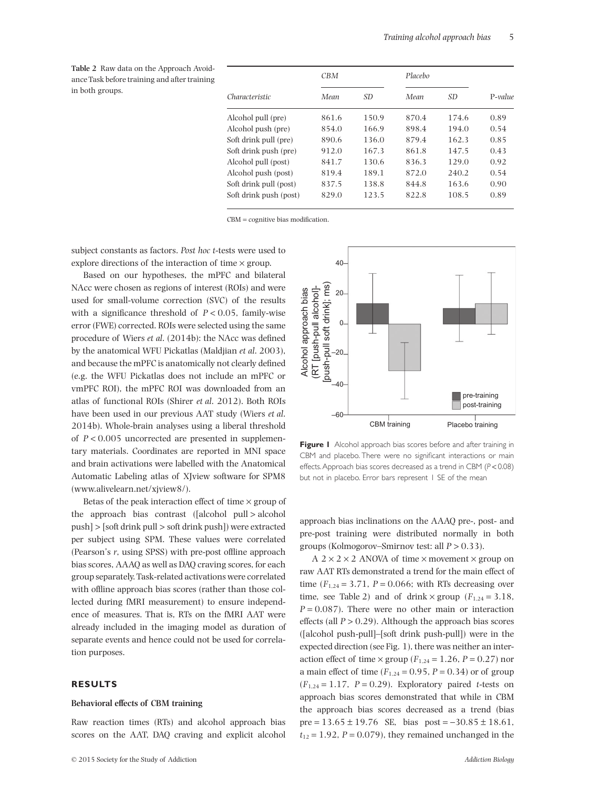**Table 2** Raw data on the Approach Avoidance Task before training and after training in both groups.

|                        | CBM   |                 |       | Placebo         |         |
|------------------------|-------|-----------------|-------|-----------------|---------|
| Characteristic         | Mean  | SD <sub>3</sub> | Mean  | SD <sub>3</sub> | P-value |
| Alcohol pull (pre)     | 861.6 | 150.9           | 870.4 | 174.6           | 0.89    |
| Alcohol push (pre)     | 854.0 | 166.9           | 898.4 | 194.0           | 0.54    |
| Soft drink pull (pre)  | 890.6 | 136.0           | 879.4 | 162.3           | 0.85    |
| Soft drink push (pre)  | 912.0 | 167.3           | 861.8 | 147.5           | 0.43    |
| Alcohol pull (post)    | 841.7 | 130.6           | 836.3 | 129.0           | 0.92    |
| Alcohol push (post)    | 819.4 | 189.1           | 872.0 | 240.2           | 0.54    |
| Soft drink pull (post) | 837.5 | 138.8           | 844.8 | 163.6           | 0.90    |
| Soft drink push (post) | 829.0 | 123.5           | 822.8 | 108.5           | 0.89    |

CBM = cognitive bias modification.

subject constants as factors. *Post hoc t*-tests were used to explore directions of the interaction of time  $\times$  group.

Based on our hypotheses, the mPFC and bilateral NAcc were chosen as regions of interest (ROIs) and were used for small-volume correction (SVC) of the results with a significance threshold of  $P < 0.05$ , family-wise error (FWE) corrected. ROIs were selected using the same procedure of Wiers *et al*. (2014b): the NAcc was defined by the anatomical WFU Pickatlas (Maldjian *et al*. 2003), and because the mPFC is anatomically not clearly defined (e.g. the WFU Pickatlas does not include an mPFC or vmPFC ROI), the mPFC ROI was downloaded from an atlas of functional ROIs (Shirer *et al*. 2012). Both ROIs have been used in our previous AAT study (Wiers *et al*. 2014b). Whole-brain analyses using a liberal threshold of  $P < 0.005$  uncorrected are presented in supplementary materials. Coordinates are reported in MNI space and brain activations were labelled with the Anatomical Automatic Labeling atlas of XJview software for SPM8 (www.alivelearn.net/xjview8/).

Betas of the peak interaction effect of time  $\times$  group of the approach bias contrast ([alcohol pull > alcohol push] > [soft drink pull > soft drink push]) were extracted per subject using SPM. These values were correlated (Pearson's *r*, using SPSS) with pre-post offline approach bias scores, AAAQ as well as DAQ craving scores, for each group separately. Task-related activations were correlated with offline approach bias scores (rather than those collected during fMRI measurement) to ensure independence of measures. That is, RTs on the fMRI AAT were already included in the imaging model as duration of separate events and hence could not be used for correlation purposes.

## **RESULTS**

#### **Behavioral effects of CBM training**

Raw reaction times (RTs) and alcohol approach bias scores on the AAT, DAQ craving and explicit alcohol



**Figure I** Alcohol approach bias scores before and after training in CBM and placebo. There were no significant interactions or main effects.Approach bias scores decreased as a trend in CBM (*P* < 0.08) but not in placebo. Error bars represent I SE of the mean

approach bias inclinations on the AAAQ pre-, post- and pre-post training were distributed normally in both groups (Kolmogorov–Smirnov test: all *P* > 0.33).

 $A$  2  $\times$  2  $\times$  2 ANOVA of time  $\times$  movement  $\times$  group on raw AAT RTs demonstrated a trend for the main effect of time  $(F_{1,24} = 3.71, P = 0.066$ ; with RTs decreasing over time, see Table 2) and of drink  $\times$  group ( $F_{1,24} = 3.18$ ,  $P = 0.087$ . There were no other main or interaction effects (all  $P > 0.29$ ). Although the approach bias scores ([alcohol push-pull]–[soft drink push-pull]) were in the expected direction (see Fig. 1), there was neither an interaction effect of time  $\times$  group ( $F_{1,24} = 1.26$ ,  $P = 0.27$ ) nor a main effect of time  $(F_{1,24} = 0.95, P = 0.34)$  or of group  $(F_{1,24} = 1.17, P = 0.29)$ . Exploratory paired *t*-tests on approach bias scores demonstrated that while in CBM the approach bias scores decreased as a trend (bias pre =  $13.65 \pm 19.76$  SE, bias post =  $-30.85 \pm 18.61$ ,  $t_{12} = 1.92$ ,  $P = 0.079$ ), they remained unchanged in the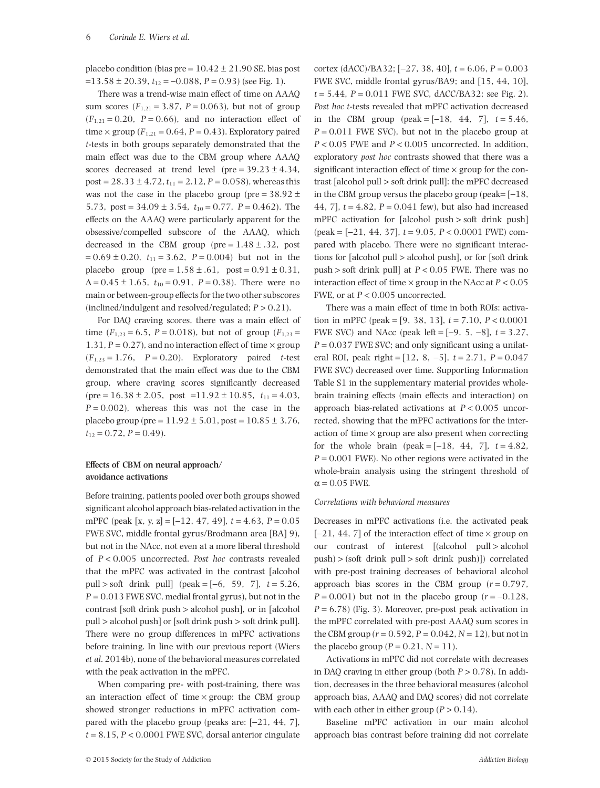placebo condition (bias pre =  $10.42 \pm 21.90$  SE, bias post  $=$ 13.58 ± 20.39,  $t_{12}$  = -0.088, *P* = 0.93) (see Fig. 1).

There was a trend-wise main effect of time on AAAQ sum scores  $(F_{1,21} = 3.87, P = 0.063)$ , but not of group  $(F_{1,21} = 0.20, P = 0.66)$ , and no interaction effect of time  $\times$  group ( $F_{1,21}$  = 0.64,  $P = 0.43$ ). Exploratory paired *t*-tests in both groups separately demonstrated that the main effect was due to the CBM group where AAAQ scores decreased at trend level (pre =  $39.23 \pm 4.34$ , post =  $28.33 \pm 4.72$ ,  $t_{11} = 2.12$ ,  $P = 0.058$ ), whereas this was not the case in the placebo group (pre =  $38.92 \pm$ 5.73, post =  $34.09 \pm 3.54$ ,  $t_{10} = 0.77$ ,  $P = 0.462$ ). The effects on the AAAQ were particularly apparent for the obsessive/compelled subscore of the AAAQ, which decreased in the CBM group (pre =  $1.48 \pm .32$ , post  $= 0.69 \pm 0.20$ ,  $t_{11} = 3.62$ ,  $P = 0.004$ ) but not in the placebo group (pre =  $1.58 \pm .61$ , post =  $0.91 \pm 0.31$ ,  $\Delta = 0.45 \pm 1.65$ ,  $t_{10} = 0.91$ ,  $P = 0.38$ ). There were no main or between-group effects for the two other subscores (inclined/indulgent and resolved/regulated; *P* > 0.21).

For DAQ craving scores, there was a main effect of time  $(F_{1,23} = 6.5, P = 0.018)$ , but not of group  $(F_{1,23} =$ 1.31,  $P = 0.27$ ), and no interaction effect of time  $\times$  group  $(F_{1,23} = 1.76, P = 0.20)$ . Exploratory paired *t*-test demonstrated that the main effect was due to the CBM group, where craving scores significantly decreased  $(\text{pre} = 16.38 \pm 2.05, \text{post} = 11.92 \pm 10.85, t_{11} = 4.03,$  $P = 0.002$ ), whereas this was not the case in the placebo group (pre =  $11.92 \pm 5.01$ , post =  $10.85 \pm 3.76$ ,  $t_{12} = 0.72$ ,  $P = 0.49$ ).

# **Effects of CBM on neural approach/ avoidance activations**

Before training, patients pooled over both groups showed significant alcohol approach bias-related activation in the mPFC (peak [x, y, z] = [−12, 47, 49], *t* = 4.63, *P* = 0.05 FWE SVC, middle frontal gyrus/Brodmann area [BA] 9), but not in the NAcc, not even at a more liberal threshold of *P* < 0.005 uncorrected. *Post hoc* contrasts revealed that the mPFC was activated in the contrast [alcohol pull > soft drink pull] (peak = [−6, 59, 7], *t* = 5.26,  $P = 0.013$  FWE SVC, medial frontal gyrus), but not in the contrast [soft drink push > alcohol push], or in [alcohol pull > alcohol push] or [soft drink push > soft drink pull]. There were no group differences in mPFC activations before training. In line with our previous report (Wiers *et al*. 2014b), none of the behavioral measures correlated with the peak activation in the mPFC.

When comparing pre- with post-training, there was an interaction effect of time  $\times$  group: the CBM group showed stronger reductions in mPFC activation compared with the placebo group (peaks are: [−21, 44, 7],  $t = 8.15$ ,  $P < 0.0001$  FWE SVC, dorsal anterior cingulate cortex (dACC)/BA32; [−27, 38, 40], *t* = 6.06, *P* = 0.003 FWE SVC, middle frontal gyrus/BA9; and [15, 44, 10],  $t = 5.44$ ,  $P = 0.011$  FWE SVC, dACC/BA32; see Fig. 2). *Post hoc t*-tests revealed that mPFC activation decreased in the CBM group (peak =  $[-18, 44, 7]$ ,  $t = 5.46$ ,  $P = 0.011$  FWE SVC), but not in the placebo group at *P* < 0.05 FWE and *P* < 0.005 uncorrected. In addition, exploratory *post hoc* contrasts showed that there was a significant interaction effect of time  $\times$  group for the contrast [alcohol pull > soft drink pull]: the mPFC decreased in the CBM group versus the placebo group (peak=  $[-18,$ 44, 7], *t* = 4.82, *P* = 0.041 few), but also had increased mPFC activation for [alcohol push > soft drink push] (peak = [−21, 44, 37], *t* = 9.05, *P* < 0.0001 FWE) compared with placebo. There were no significant interactions for [alcohol pull > alcohol push], or for [soft drink push > soft drink pull] at *P* < 0.05 FWE. There was no interaction effect of time  $\times$  group in the NAcc at  $P < 0.05$ FWE, or at  $P < 0.005$  uncorrected.

There was a main effect of time in both ROIs: activation in mPFC (peak = [9, 38, 13], *t* = 7.10, *P* < 0.0001 FWE SVC) and NAcc (peak left = [−9, 5, −8], *t* = 3.27,  $P = 0.037$  FWE SVC; and only significant using a unilateral ROI, peak right = [12, 8, −5], *t* = 2.71, *P* = 0.047 FWE SVC) decreased over time. Supporting Information Table S1 in the supplementary material provides wholebrain training effects (main effects and interaction) on approach bias-related activations at *P* < 0.005 uncorrected, showing that the mPFC activations for the interaction of time  $\times$  group are also present when correcting for the whole brain (peak =  $[-18, 44, 7]$ ,  $t = 4.82$ ,  $P = 0.001$  FWE). No other regions were activated in the whole-brain analysis using the stringent threshold of  $\alpha$  = 0.05 FWE.

#### *Correlations with behavioral measures*

Decreases in mPFC activations (i.e. the activated peak [−21, 44, 7] of the interaction effect of time × group on our contrast of interest [(alcohol pull > alcohol push) > (soft drink pull > soft drink push)]) correlated with pre-post training decreases of behavioral alcohol approach bias scores in the CBM group  $(r = 0.797,$ *P* = 0.001) but not in the placebo group (*r* = −0.128,  $P = 6.78$ ) (Fig. 3). Moreover, pre-post peak activation in the mPFC correlated with pre-post AAAQ sum scores in the CBM group ( $r = 0.592$ ,  $P = 0.042$ ,  $N = 12$ ), but not in the placebo group  $(P = 0.21, N = 11)$ .

Activations in mPFC did not correlate with decreases in DAQ craving in either group (both *P* > 0.78). In addition, decreases in the three behavioral measures (alcohol approach bias, AAAQ and DAQ scores) did not correlate with each other in either group  $(P > 0.14)$ .

Baseline mPFC activation in our main alcohol approach bias contrast before training did not correlate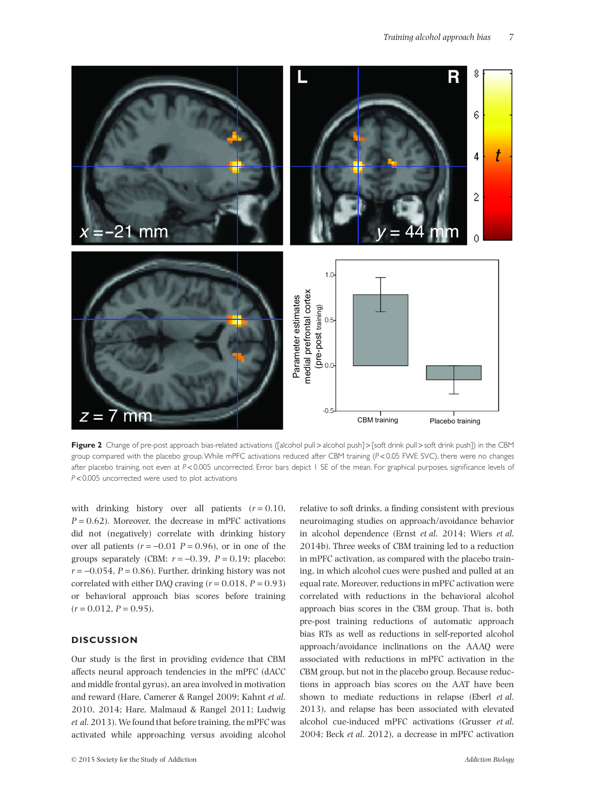

**Figure 2** Change of pre-post approach bias-related activations ([alcohol pull > alcohol push] > [soft drink pull > soft drink push]) in the CBM group compared with the placebo group. While mPFC activations reduced after CBM training (*P* < 0.05 FWE SVC), there were no changes after placebo training, not even at *P* < 0.005 uncorrected. Error bars depict 1 SE of the mean. For graphical purposes, significance levels of *P* < 0.005 uncorrected were used to plot activations

with drinking history over all patients  $(r = 0.10,$  $P = 0.62$ ). Moreover, the decrease in mPFC activations did not (negatively) correlate with drinking history over all patients  $(r = -0.01 \text{ } P = 0.96)$ , or in one of the groups separately (CBM:  $r = -0.39$ ,  $P = 0.19$ ; placebo:  $r = -0.054$ ,  $P = 0.86$ ). Further, drinking history was not correlated with either DAO craving  $(r = 0.018, P = 0.93)$ or behavioral approach bias scores before training  $(r = 0.012, P = 0.95).$ 

# **DISCUSSION**

Our study is the first in providing evidence that CBM affects neural approach tendencies in the mPFC (dACC and middle frontal gyrus), an area involved in motivation and reward (Hare, Camerer & Rangel 2009; Kahnt *et al*. 2010, 2014; Hare, Malmaud & Rangel 2011; Ludwig *et al*. 2013). We found that before training, the mPFC was activated while approaching versus avoiding alcohol relative to soft drinks, a finding consistent with previous neuroimaging studies on approach/avoidance behavior in alcohol dependence (Ernst *et al*. 2014; Wiers *et al*. 2014b). Three weeks of CBM training led to a reduction in mPFC activation, as compared with the placebo training, in which alcohol cues were pushed and pulled at an equal rate. Moreover, reductions in mPFC activation were correlated with reductions in the behavioral alcohol approach bias scores in the CBM group. That is, both pre-post training reductions of automatic approach bias RTs as well as reductions in self-reported alcohol approach/avoidance inclinations on the AAAQ were associated with reductions in mPFC activation in the CBM group, but not in the placebo group. Because reductions in approach bias scores on the AAT have been shown to mediate reductions in relapse (Eberl *et al*. 2013), and relapse has been associated with elevated alcohol cue-induced mPFC activations (Grusser *et al*. 2004; Beck *et al*. 2012), a decrease in mPFC activation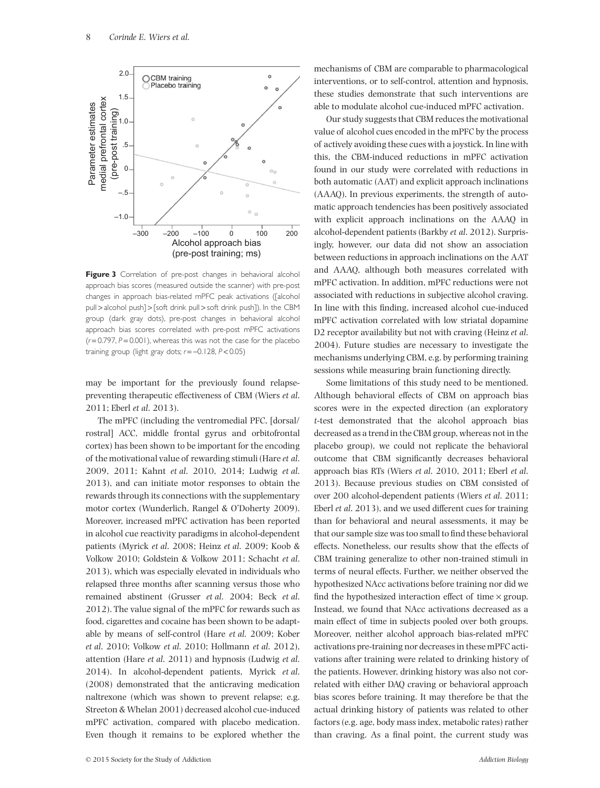

**Figure 3** Correlation of pre-post changes in behavioral alcohol approach bias scores (measured outside the scanner) with pre-post changes in approach bias-related mPFC peak activations ([alcohol pull > alcohol push] > [soft drink pull > soft drink push]). In the CBM group (dark gray dots), pre-post changes in behavioral alcohol approach bias scores correlated with pre-post mPFC activations (*r* = 0.797, *P* = 0.001), whereas this was not the case for the placebo training group (light gray dots; *r* = −0.128, *P* < 0.05)

may be important for the previously found relapsepreventing therapeutic effectiveness of CBM (Wiers *et al*. 2011; Eberl *et al*. 2013).

The mPFC (including the ventromedial PFC, [dorsal/ rostral] ACC, middle frontal gyrus and orbitofrontal cortex) has been shown to be important for the encoding of the motivational value of rewarding stimuli (Hare *et al*. 2009, 2011; Kahnt *et al*. 2010, 2014; Ludwig *et al*. 2013), and can initiate motor responses to obtain the rewards through its connections with the supplementary motor cortex (Wunderlich, Rangel & O'Doherty 2009). Moreover, increased mPFC activation has been reported in alcohol cue reactivity paradigms in alcohol-dependent patients (Myrick *et al*. 2008; Heinz *et al*. 2009; Koob & Volkow 2010; Goldstein & Volkow 2011; Schacht *et al*. 2013), which was especially elevated in individuals who relapsed three months after scanning versus those who remained abstinent (Grusser *et al*. 2004; Beck *et al*. 2012). The value signal of the mPFC for rewards such as food, cigarettes and cocaine has been shown to be adaptable by means of self-control (Hare *et al*. 2009; Kober *et al*. 2010; Volkow *et al*. 2010; Hollmann *et al*. 2012), attention (Hare *et al*. 2011) and hypnosis (Ludwig *et al*. 2014). In alcohol-dependent patients, Myrick *et al*. (2008) demonstrated that the anticraving medication naltrexone (which was shown to prevent relapse; e.g. Streeton & Whelan 2001) decreased alcohol cue-induced mPFC activation, compared with placebo medication. Even though it remains to be explored whether the mechanisms of CBM are comparable to pharmacological interventions, or to self-control, attention and hypnosis, these studies demonstrate that such interventions are able to modulate alcohol cue-induced mPFC activation.

Our study suggests that CBM reduces the motivational value of alcohol cues encoded in the mPFC by the process of actively avoiding these cues with a joystick. In line with this, the CBM-induced reductions in mPFC activation found in our study were correlated with reductions in both automatic (AAT) and explicit approach inclinations (AAAQ). In previous experiments, the strength of automatic approach tendencies has been positively associated with explicit approach inclinations on the AAAQ in alcohol-dependent patients (Barkby *et al*. 2012). Surprisingly, however, our data did not show an association between reductions in approach inclinations on the AAT and AAAQ, although both measures correlated with mPFC activation. In addition, mPFC reductions were not associated with reductions in subjective alcohol craving. In line with this finding, increased alcohol cue-induced mPFC activation correlated with low striatal dopamine D2 receptor availability but not with craving (Heinz *et al*. 2004). Future studies are necessary to investigate the mechanisms underlying CBM, e.g. by performing training sessions while measuring brain functioning directly.

Some limitations of this study need to be mentioned. Although behavioral effects of CBM on approach bias scores were in the expected direction (an exploratory *t*-test demonstrated that the alcohol approach bias decreased as a trend in the CBM group, whereas not in the placebo group), we could not replicate the behavioral outcome that CBM significantly decreases behavioral approach bias RTs (Wiers *et al*. 2010, 2011; Eberl *et al*. 2013). Because previous studies on CBM consisted of over 200 alcohol-dependent patients (Wiers *et al*. 2011; Eberl *et al*. 2013), and we used different cues for training than for behavioral and neural assessments, it may be that our sample size was too small to find these behavioral effects. Nonetheless, our results show that the effects of CBM training generalize to other non-trained stimuli in terms of neural effects. Further, we neither observed the hypothesized NAcc activations before training nor did we find the hypothesized interaction effect of time  $\times$  group. Instead, we found that NAcc activations decreased as a main effect of time in subjects pooled over both groups. Moreover, neither alcohol approach bias-related mPFC activations pre-training nor decreases in these mPFC activations after training were related to drinking history of the patients. However, drinking history was also not correlated with either DAQ craving or behavioral approach bias scores before training. It may therefore be that the actual drinking history of patients was related to other factors (e.g. age, body mass index, metabolic rates) rather than craving. As a final point, the current study was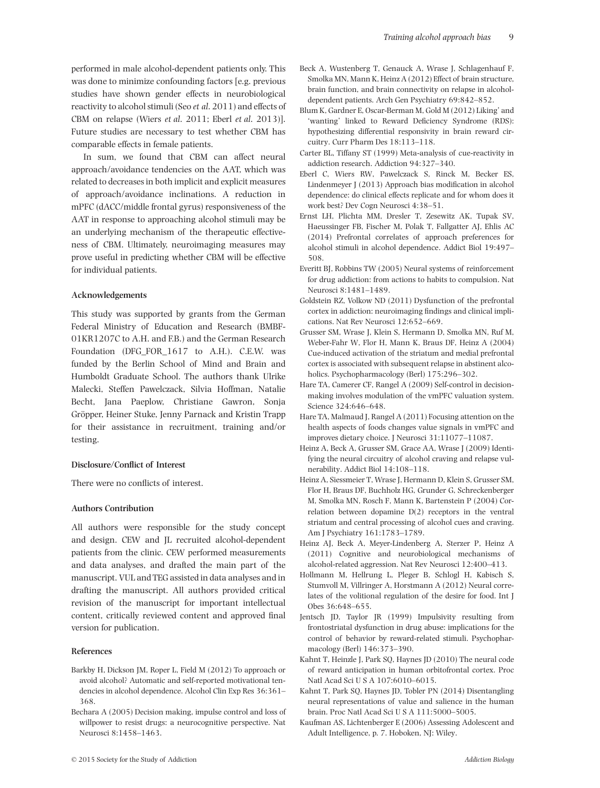performed in male alcohol-dependent patients only. This was done to minimize confounding factors [e.g. previous studies have shown gender effects in neurobiological reactivity to alcohol stimuli (Seo *et al*. 2011) and effects of CBM on relapse (Wiers *et al*. 2011; Eberl *et al*. 2013)]. Future studies are necessary to test whether CBM has comparable effects in female patients.

In sum, we found that CBM can affect neural approach/avoidance tendencies on the AAT, which was related to decreases in both implicit and explicit measures of approach/avoidance inclinations. A reduction in mPFC (dACC/middle frontal gyrus) responsiveness of the AAT in response to approaching alcohol stimuli may be an underlying mechanism of the therapeutic effectiveness of CBM. Ultimately, neuroimaging measures may prove useful in predicting whether CBM will be effective for individual patients.

### **Acknowledgements**

This study was supported by grants from the German Federal Ministry of Education and Research (BMBF-01KR1207C to A.H. and F.B.) and the German Research Foundation (DFG\_FOR\_1617 to A.H.). C.E.W. was funded by the Berlin School of Mind and Brain and Humboldt Graduate School. The authors thank Ulrike Malecki, Steffen Pawelczack, Silvia Hoffman, Natalie Becht, Jana Paeplow, Christiane Gawron, Sonja Gröpper, Heiner Stuke, Jenny Parnack and Kristin Trapp for their assistance in recruitment, training and/or testing.

#### **Disclosure/Conflict of Interest**

There were no conflicts of interest.

#### **Authors Contribution**

All authors were responsible for the study concept and design. CEW and JL recruited alcohol-dependent patients from the clinic. CEW performed measurements and data analyses, and drafted the main part of the manuscript. VUL and TEG assisted in data analyses and in drafting the manuscript. All authors provided critical revision of the manuscript for important intellectual content, critically reviewed content and approved final version for publication.

#### **References**

- Barkby H, Dickson JM, Roper L, Field M (2012) To approach or avoid alcohol? Automatic and self-reported motivational tendencies in alcohol dependence. Alcohol Clin Exp Res 36:361– 368.
- Bechara A (2005) Decision making, impulse control and loss of willpower to resist drugs: a neurocognitive perspective. Nat Neurosci 8:1458–1463.
- Beck A, Wustenberg T, Genauck A, Wrase J, Schlagenhauf F, Smolka MN, Mann K, Heinz A (2012) Effect of brain structure, brain function, and brain connectivity on relapse in alcoholdependent patients. Arch Gen Psychiatry 69:842–852.
- Blum K, Gardner E, Oscar-Berman M, Gold M (2012) Liking' and 'wanting' linked to Reward Deficiency Syndrome (RDS): hypothesizing differential responsivity in brain reward circuitry. Curr Pharm Des 18:113–118.
- Carter BL, Tiffany ST (1999) Meta-analysis of cue-reactivity in addiction research. Addiction 94:327–340.
- Eberl C, Wiers RW, Pawelczack S, Rinck M, Becker ES, Lindenmeyer J (2013) Approach bias modification in alcohol dependence: do clinical effects replicate and for whom does it work best? Dev Cogn Neurosci 4:38–51.
- Ernst LH, Plichta MM, Dresler T, Zesewitz AK, Tupak SV, Haeussinger FB, Fischer M, Polak T, Fallgatter AJ, Ehlis AC (2014) Prefrontal correlates of approach preferences for alcohol stimuli in alcohol dependence. Addict Biol 19:497– 508.
- Everitt BJ, Robbins TW (2005) Neural systems of reinforcement for drug addiction: from actions to habits to compulsion. Nat Neurosci 8:1481–1489.
- Goldstein RZ, Volkow ND (2011) Dysfunction of the prefrontal cortex in addiction: neuroimaging findings and clinical implications. Nat Rev Neurosci 12:652–669.
- Grusser SM, Wrase J, Klein S, Hermann D, Smolka MN, Ruf M, Weber-Fahr W, Flor H, Mann K, Braus DF, Heinz A (2004) Cue-induced activation of the striatum and medial prefrontal cortex is associated with subsequent relapse in abstinent alcoholics. Psychopharmacology (Berl) 175:296–302.
- Hare TA, Camerer CF, Rangel A (2009) Self-control in decisionmaking involves modulation of the vmPFC valuation system. Science 324:646–648.
- Hare TA, Malmaud J, Rangel A (2011) Focusing attention on the health aspects of foods changes value signals in vmPFC and improves dietary choice. J Neurosci 31:11077–11087.
- Heinz A, Beck A, Grusser SM, Grace AA, Wrase J (2009) Identifying the neural circuitry of alcohol craving and relapse vulnerability. Addict Biol 14:108–118.
- Heinz A, Siessmeier T, Wrase J, Hermann D, Klein S, Grusser SM, Flor H, Braus DF, Buchholz HG, Grunder G, Schreckenberger M, Smolka MN, Rosch F, Mann K, Bartenstein P (2004) Correlation between dopamine D(2) receptors in the ventral striatum and central processing of alcohol cues and craving. Am J Psychiatry 161:1783–1789.
- Heinz AJ, Beck A, Meyer-Lindenberg A, Sterzer P, Heinz A (2011) Cognitive and neurobiological mechanisms of alcohol-related aggression. Nat Rev Neurosci 12:400–413.
- Hollmann M, Hellrung L, Pleger B, Schlogl H, Kabisch S, Stumvoll M, Villringer A, Horstmann A (2012) Neural correlates of the volitional regulation of the desire for food. Int J Obes 36:648–655.
- Jentsch JD, Taylor JR (1999) Impulsivity resulting from frontostriatal dysfunction in drug abuse: implications for the control of behavior by reward-related stimuli. Psychopharmacology (Berl) 146:373–390.
- Kahnt T, Heinzle J, Park SQ, Haynes JD (2010) The neural code of reward anticipation in human orbitofrontal cortex. Proc Natl Acad Sci U S A 107:6010-6015.
- Kahnt T, Park SQ, Haynes JD, Tobler PN (2014) Disentangling neural representations of value and salience in the human brain. Proc Natl Acad Sci U S A 111:5000-5005.
- Kaufman AS, Lichtenberger E (2006) Assessing Adolescent and Adult Intelligence, p. 7. Hoboken, NJ: Wiley.